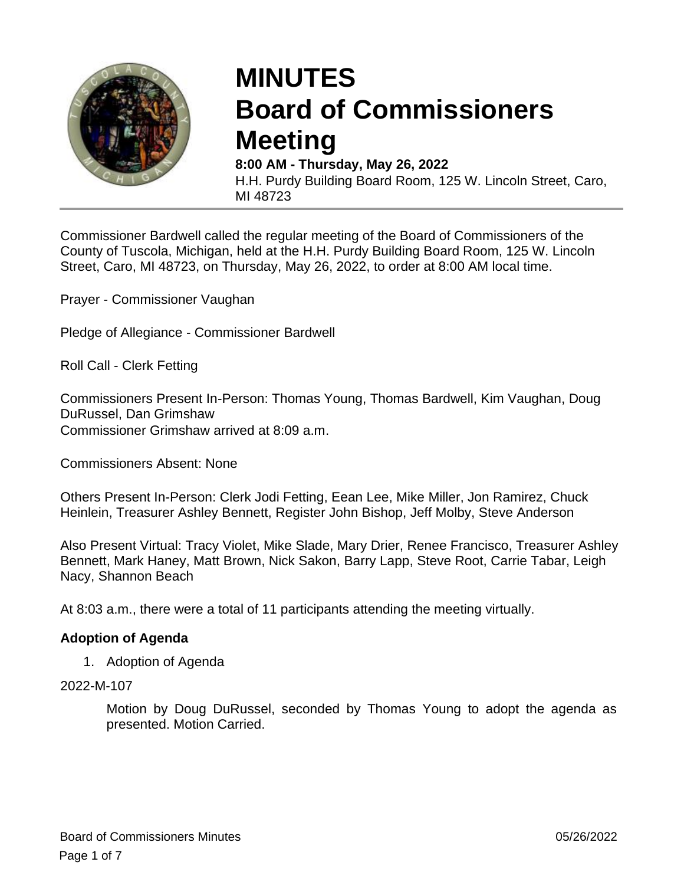

# **MINUTES Board of Commissioners Meeting**

**8:00 AM - Thursday, May 26, 2022** H.H. Purdy Building Board Room, 125 W. Lincoln Street, Caro, MI 48723

Commissioner Bardwell called the regular meeting of the Board of Commissioners of the County of Tuscola, Michigan, held at the H.H. Purdy Building Board Room, 125 W. Lincoln Street, Caro, MI 48723, on Thursday, May 26, 2022, to order at 8:00 AM local time.

Prayer - Commissioner Vaughan

Pledge of Allegiance - Commissioner Bardwell

Roll Call - Clerk Fetting

Commissioners Present In-Person: Thomas Young, Thomas Bardwell, Kim Vaughan, Doug DuRussel, Dan Grimshaw Commissioner Grimshaw arrived at 8:09 a.m.

Commissioners Absent: None

Others Present In-Person: Clerk Jodi Fetting, Eean Lee, Mike Miller, Jon Ramirez, Chuck Heinlein, Treasurer Ashley Bennett, Register John Bishop, Jeff Molby, Steve Anderson

Also Present Virtual: Tracy Violet, Mike Slade, Mary Drier, Renee Francisco, Treasurer Ashley Bennett, Mark Haney, Matt Brown, Nick Sakon, Barry Lapp, Steve Root, Carrie Tabar, Leigh Nacy, Shannon Beach

At 8:03 a.m., there were a total of 11 participants attending the meeting virtually.

#### **Adoption of Agenda**

1. Adoption of Agenda

#### 2022-M-107

Motion by Doug DuRussel, seconded by Thomas Young to adopt the agenda as presented. Motion Carried.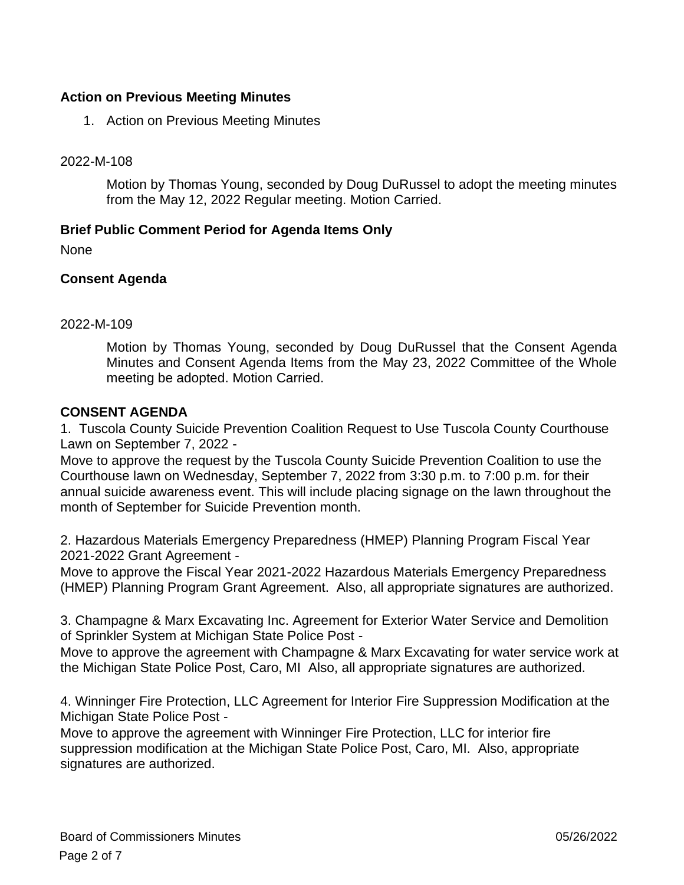## **Action on Previous Meeting Minutes**

1. Action on Previous Meeting Minutes

2022-M-108

Motion by Thomas Young, seconded by Doug DuRussel to adopt the meeting minutes from the May 12, 2022 Regular meeting. Motion Carried.

## **Brief Public Comment Period for Agenda Items Only**

None

## **Consent Agenda**

#### 2022-M-109

Motion by Thomas Young, seconded by Doug DuRussel that the Consent Agenda Minutes and Consent Agenda Items from the May 23, 2022 Committee of the Whole meeting be adopted. Motion Carried.

## **CONSENT AGENDA**

1. Tuscola County Suicide Prevention Coalition Request to Use Tuscola County Courthouse Lawn on September 7, 2022 -

Move to approve the request by the Tuscola County Suicide Prevention Coalition to use the Courthouse lawn on Wednesday, September 7, 2022 from 3:30 p.m. to 7:00 p.m. for their annual suicide awareness event. This will include placing signage on the lawn throughout the month of September for Suicide Prevention month.

2. Hazardous Materials Emergency Preparedness (HMEP) Planning Program Fiscal Year 2021-2022 Grant Agreement -

Move to approve the Fiscal Year 2021-2022 Hazardous Materials Emergency Preparedness (HMEP) Planning Program Grant Agreement. Also, all appropriate signatures are authorized.

3. Champagne & Marx Excavating Inc. Agreement for Exterior Water Service and Demolition of Sprinkler System at Michigan State Police Post -

Move to approve the agreement with Champagne & Marx Excavating for water service work at the Michigan State Police Post, Caro, MI Also, all appropriate signatures are authorized.

4. Winninger Fire Protection, LLC Agreement for Interior Fire Suppression Modification at the Michigan State Police Post -

Move to approve the agreement with Winninger Fire Protection, LLC for interior fire suppression modification at the Michigan State Police Post, Caro, MI. Also, appropriate signatures are authorized.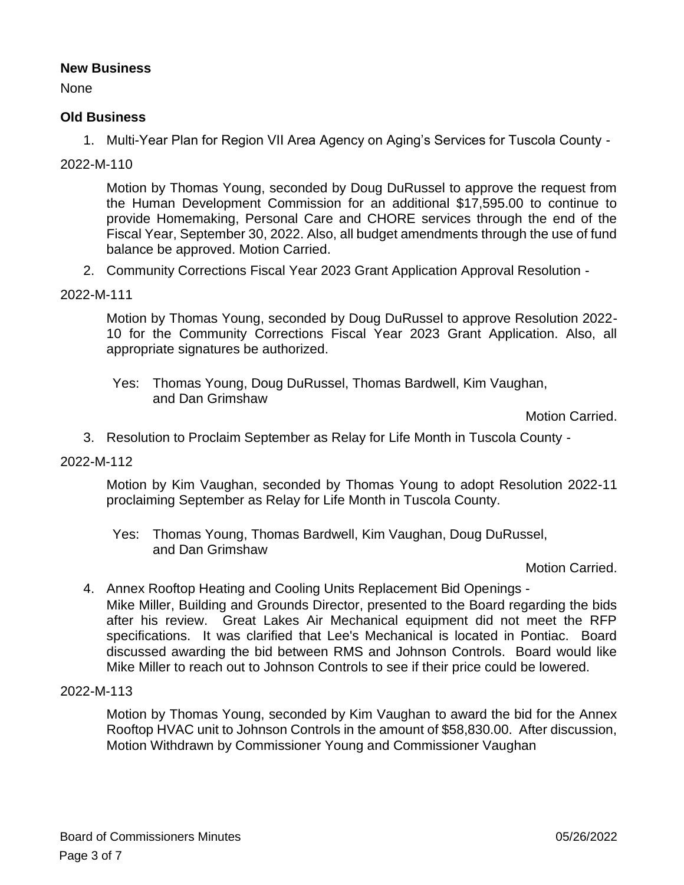## **New Business**

None

## **Old Business**

1. Multi-Year Plan for Region VII Area Agency on Aging's Services for Tuscola County -

## 2022-M-110

Motion by Thomas Young, seconded by Doug DuRussel to approve the request from the Human Development Commission for an additional \$17,595.00 to continue to provide Homemaking, Personal Care and CHORE services through the end of the Fiscal Year, September 30, 2022. Also, all budget amendments through the use of fund balance be approved. Motion Carried.

2. Community Corrections Fiscal Year 2023 Grant Application Approval Resolution -

#### 2022-M-111

Motion by Thomas Young, seconded by Doug DuRussel to approve Resolution 2022- 10 for the Community Corrections Fiscal Year 2023 Grant Application. Also, all appropriate signatures be authorized.

Yes: Thomas Young, Doug DuRussel, Thomas Bardwell, Kim Vaughan, and Dan Grimshaw

Motion Carried.

3. Resolution to Proclaim September as Relay for Life Month in Tuscola County -

#### 2022-M-112

Motion by Kim Vaughan, seconded by Thomas Young to adopt Resolution 2022-11 proclaiming September as Relay for Life Month in Tuscola County.

Yes: Thomas Young, Thomas Bardwell, Kim Vaughan, Doug DuRussel, and Dan Grimshaw

Motion Carried.

4. Annex Rooftop Heating and Cooling Units Replacement Bid Openings - Mike Miller, Building and Grounds Director, presented to the Board regarding the bids after his review. Great Lakes Air Mechanical equipment did not meet the RFP specifications. It was clarified that Lee's Mechanical is located in Pontiac. Board discussed awarding the bid between RMS and Johnson Controls. Board would like Mike Miller to reach out to Johnson Controls to see if their price could be lowered.

#### 2022-M-113

Motion by Thomas Young, seconded by Kim Vaughan to award the bid for the Annex Rooftop HVAC unit to Johnson Controls in the amount of \$58,830.00. After discussion, Motion Withdrawn by Commissioner Young and Commissioner Vaughan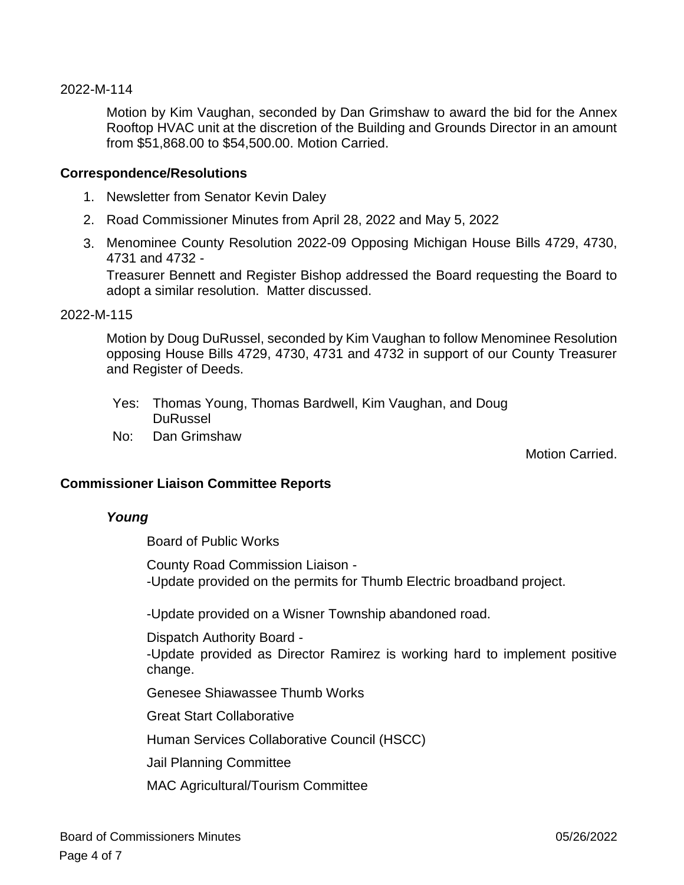#### 2022-M-114

Motion by Kim Vaughan, seconded by Dan Grimshaw to award the bid for the Annex Rooftop HVAC unit at the discretion of the Building and Grounds Director in an amount from \$51,868.00 to \$54,500.00. Motion Carried.

#### **Correspondence/Resolutions**

- 1. Newsletter from Senator Kevin Daley
- 2. Road Commissioner Minutes from April 28, 2022 and May 5, 2022
- 3. Menominee County Resolution 2022-09 Opposing Michigan House Bills 4729, 4730, 4731 and 4732 - Treasurer Bennett and Register Bishop addressed the Board requesting the Board to

adopt a similar resolution. Matter discussed.

#### 2022-M-115

Motion by Doug DuRussel, seconded by Kim Vaughan to follow Menominee Resolution opposing House Bills 4729, 4730, 4731 and 4732 in support of our County Treasurer and Register of Deeds.

- Yes: Thomas Young, Thomas Bardwell, Kim Vaughan, and Doug **DuRussel**
- No: Dan Grimshaw

Motion Carried.

#### **Commissioner Liaison Committee Reports**

#### *Young*

Board of Public Works

County Road Commission Liaison - -Update provided on the permits for Thumb Electric broadband project.

-Update provided on a Wisner Township abandoned road.

Dispatch Authority Board -

-Update provided as Director Ramirez is working hard to implement positive change.

Genesee Shiawassee Thumb Works

Great Start Collaborative

Human Services Collaborative Council (HSCC)

Jail Planning Committee

MAC Agricultural/Tourism Committee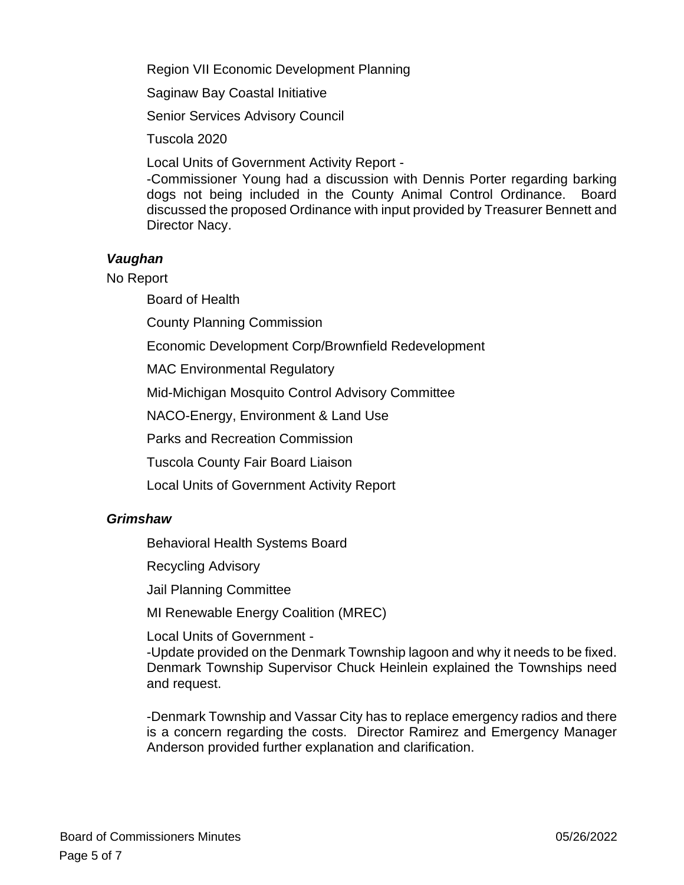Region VII Economic Development Planning

Saginaw Bay Coastal Initiative

Senior Services Advisory Council

Tuscola 2020

Local Units of Government Activity Report -

-Commissioner Young had a discussion with Dennis Porter regarding barking dogs not being included in the County Animal Control Ordinance. Board discussed the proposed Ordinance with input provided by Treasurer Bennett and Director Nacy.

## *Vaughan*

No Report

Board of Health

County Planning Commission

Economic Development Corp/Brownfield Redevelopment

MAC Environmental Regulatory

Mid-Michigan Mosquito Control Advisory Committee

NACO-Energy, Environment & Land Use

Parks and Recreation Commission

Tuscola County Fair Board Liaison

Local Units of Government Activity Report

## *Grimshaw*

Behavioral Health Systems Board

Recycling Advisory

Jail Planning Committee

MI Renewable Energy Coalition (MREC)

Local Units of Government -

-Update provided on the Denmark Township lagoon and why it needs to be fixed. Denmark Township Supervisor Chuck Heinlein explained the Townships need and request.

-Denmark Township and Vassar City has to replace emergency radios and there is a concern regarding the costs. Director Ramirez and Emergency Manager Anderson provided further explanation and clarification.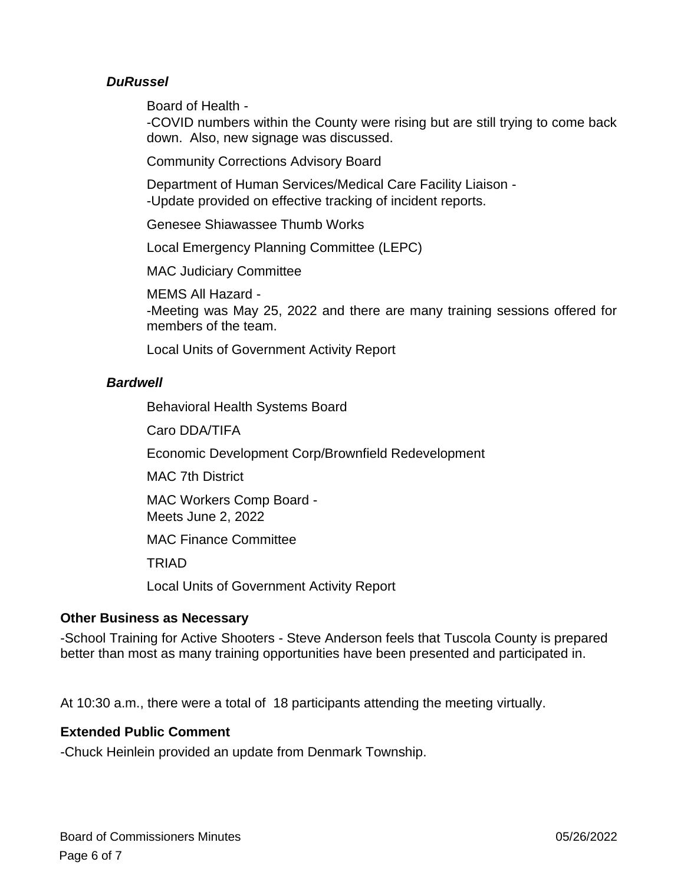## *DuRussel*

Board of Health -

-COVID numbers within the County were rising but are still trying to come back down. Also, new signage was discussed.

Community Corrections Advisory Board

Department of Human Services/Medical Care Facility Liaison - -Update provided on effective tracking of incident reports.

Genesee Shiawassee Thumb Works

Local Emergency Planning Committee (LEPC)

MAC Judiciary Committee

MEMS All Hazard - -Meeting was May 25, 2022 and there are many training sessions offered for members of the team.

Local Units of Government Activity Report

## *Bardwell*

Behavioral Health Systems Board

Caro DDA/TIFA

Economic Development Corp/Brownfield Redevelopment

MAC 7th District

MAC Workers Comp Board - Meets June 2, 2022

MAC Finance Committee

TRIAD

Local Units of Government Activity Report

## **Other Business as Necessary**

-School Training for Active Shooters - Steve Anderson feels that Tuscola County is prepared better than most as many training opportunities have been presented and participated in.

At 10:30 a.m., there were a total of 18 participants attending the meeting virtually.

## **Extended Public Comment**

-Chuck Heinlein provided an update from Denmark Township.